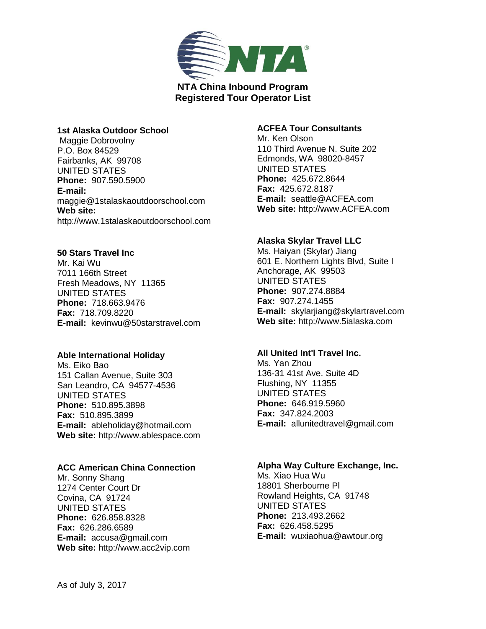

## **1st Alaska Outdoor School**

Maggie Dobrovolny P.O. Box 84529 Fairbanks, AK 99708 UNITED STATES **Phone:** 907.590.5900 **E-mail:**  maggie@1stalaskaoutdoorschool.com **Web site:**  http://www.1stalaskaoutdoorschool.com

# **50 Stars Travel Inc**

Mr. Kai Wu 7011 166th Street Fresh Meadows, NY 11365 UNITED STATES **Phone:** 718.663.9476 **Fax:** 718.709.8220 **E-mail:** kevinwu@50starstravel.com

### **Able International Holiday**

Ms. Eiko Bao 151 Callan Avenue, Suite 303 San Leandro, CA 94577-4536 UNITED STATES **Phone:** 510.895.3898 **Fax:** 510.895.3899 **E-mail:** ableholiday@hotmail.com **Web site:** http://www.ablespace.com

# **ACC American China Connection**

Mr. Sonny Shang 1274 Center Court Dr Covina, CA 91724 UNITED STATES **Phone:** 626.858.8328 **Fax:** 626.286.6589 **E-mail:** accusa@gmail.com **Web site:** http://www.acc2vip.com

# **ACFEA Tour Consultants**

Mr. Ken Olson 110 Third Avenue N. Suite 202 Edmonds, WA 98020-8457 UNITED STATES **Phone:** 425.672.8644 **Fax:** 425.672.8187 **E-mail:** seattle@ACFEA.com **Web site:** http://www.ACFEA.com

## **Alaska Skylar Travel LLC**

Ms. Haiyan (Skylar) Jiang 601 E. Northern Lights Blvd, Suite I Anchorage, AK 99503 UNITED STATES **Phone:** 907.274.8884 **Fax:** 907.274.1455 **E-mail:** skylarjiang@skylartravel.com **Web site:** http://www.5ialaska.com

# **All United Int'l Travel Inc.**

Ms. Yan Zhou 136-31 41st Ave. Suite 4D Flushing, NY 11355 UNITED STATES **Phone:** 646.919.5960 **Fax:** 347.824.2003 **E-mail:** allunitedtravel@gmail.com

### **Alpha Way Culture Exchange, Inc.**

Ms. Xiao Hua Wu 18801 Sherbourne Pl Rowland Heights, CA 91748 UNITED STATES **Phone:** 213.493.2662 **Fax:** 626.458.5295 **E-mail:** wuxiaohua@awtour.org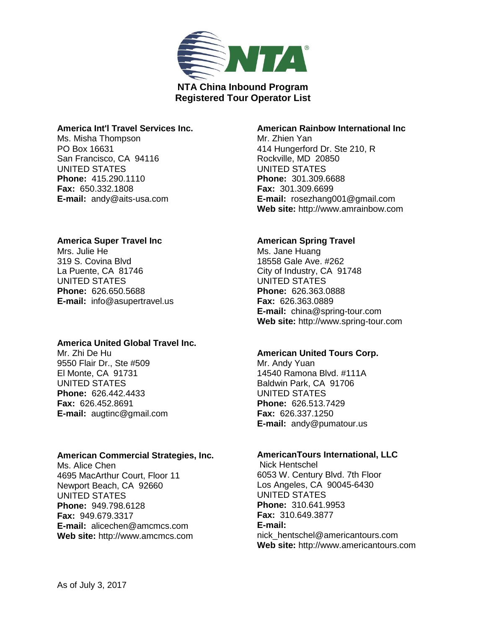

### **America Int'l Travel Services Inc.**

Ms. Misha Thompson PO Box 16631 San Francisco, CA 94116 UNITED STATES **Phone:** 415.290.1110 **Fax:** 650.332.1808 **E-mail:** andy@aits-usa.com

## **America Super Travel Inc**

Mrs. Julie He 319 S. Covina Blvd La Puente, CA 81746 UNITED STATES **Phone:** 626.650.5688 **E-mail:** info@asupertravel.us

### **America United Global Travel Inc.**

Mr. Zhi De Hu 9550 Flair Dr., Ste #509 El Monte, CA 91731 UNITED STATES **Phone:** 626.442.4433 **Fax:** 626.452.8691 **E-mail:** augtinc@gmail.com

### **American Commercial Strategies, Inc.**

Ms. Alice Chen 4695 MacArthur Court, Floor 11 Newport Beach, CA 92660 UNITED STATES **Phone:** 949.798.6128 **Fax:** 949.679.3317 **E-mail:** alicechen@amcmcs.com **Web site:** http://www.amcmcs.com

## **American Rainbow International Inc**

Mr. Zhien Yan 414 Hungerford Dr. Ste 210, R Rockville, MD 20850 UNITED STATES **Phone:** 301.309.6688 **Fax:** 301.309.6699 **E-mail:** rosezhang001@gmail.com **Web site:** http://www.amrainbow.com

# **American Spring Travel**

Ms. Jane Huang 18558 Gale Ave. #262 City of Industry, CA 91748 UNITED STATES **Phone:** 626.363.0888 **Fax:** 626.363.0889 **E-mail:** china@spring-tour.com **Web site:** http://www.spring-tour.com

# **American United Tours Corp.**

Mr. Andy Yuan 14540 Ramona Blvd. #111A Baldwin Park, CA 91706 UNITED STATES **Phone:** 626.513.7429 **Fax:** 626.337.1250 **E-mail:** andy@pumatour.us

### **AmericanTours International, LLC**

Nick Hentschel 6053 W. Century Blvd. 7th Floor Los Angeles, CA 90045-6430 UNITED STATES **Phone:** 310.641.9953 **Fax:** 310.649.3877 **E-mail:**  nick\_hentschel@americantours.com **Web site:** http://www.americantours.com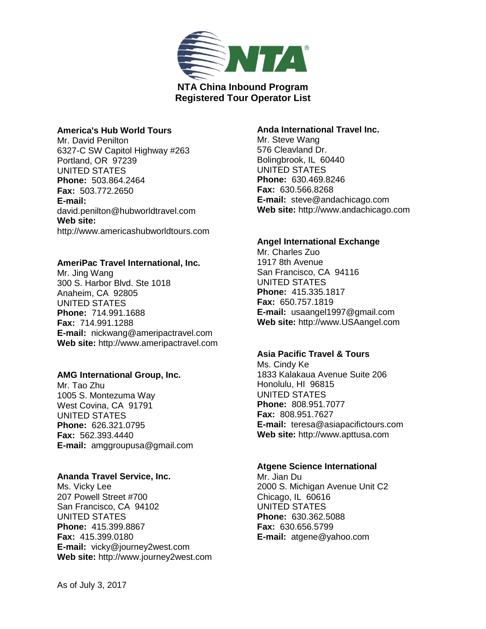

### **America's Hub World Tours**

Mr. David Penilton 6327-C SW Capitol Highway #263 Portland, OR 97239 UNITED STATES **Phone:** 503.864.2464 **Fax:** 503.772.2650 **E-mail:**  david.penilton@hubworldtravel.com **Web site:**  http://www.americashubworldtours.com

#### **AmeriPac Travel International, Inc.**

Mr. Jing Wang 300 S. Harbor Blvd. Ste 1018 Anaheim, CA 92805 UNITED STATES **Phone:** 714.991.1688 **Fax:** 714.991.1288 **E-mail:** nickwang@ameripactravel.com **Web site:** http://www.ameripactravel.com

### **AMG International Group, Inc.**

Mr. Tao Zhu 1005 S. Montezuma Way West Covina, CA 91791 UNITED STATES **Phone:** 626.321.0795 **Fax:** 562.393.4440 **E-mail:** amggroupusa@gmail.com

#### **Ananda Travel Service, Inc.**

Ms. Vicky Lee 207 Powell Street #700 San Francisco, CA 94102 UNITED STATES **Phone:** 415.399.8867 **Fax:** 415.399.0180 **E-mail:** vicky@journey2west.com **Web site:** http://www.journey2west.com

## **Anda International Travel Inc.**

Mr. Steve Wang 576 Cleavland Dr. Bolingbrook, IL 60440 UNITED STATES **Phone:** 630.469.8246 **Fax:** 630.566.8268 **E-mail:** steve@andachicago.com **Web site:** http://www.andachicago.com

### **Angel International Exchange**

Mr. Charles Zuo 1917 8th Avenue San Francisco, CA 94116 UNITED STATES **Phone:** 415.335.1817 **Fax:** 650.757.1819 **E-mail:** usaangel1997@gmail.com **Web site:** http://www.USAangel.com

# **Asia Pacific Travel & Tours**

Ms. Cindy Ke 1833 Kalakaua Avenue Suite 206 Honolulu, HI 96815 UNITED STATES **Phone:** 808.951.7077 **Fax:** 808.951.7627 **E-mail:** teresa@asiapacifictours.com **Web site:** http://www.apttusa.com

#### **Atgene Science International**

Mr. Jian Du 2000 S. Michigan Avenue Unit C2 Chicago, IL 60616 UNITED STATES **Phone:** 630.362.5088 **Fax:** 630.656.5799 **E-mail:** atgene@yahoo.com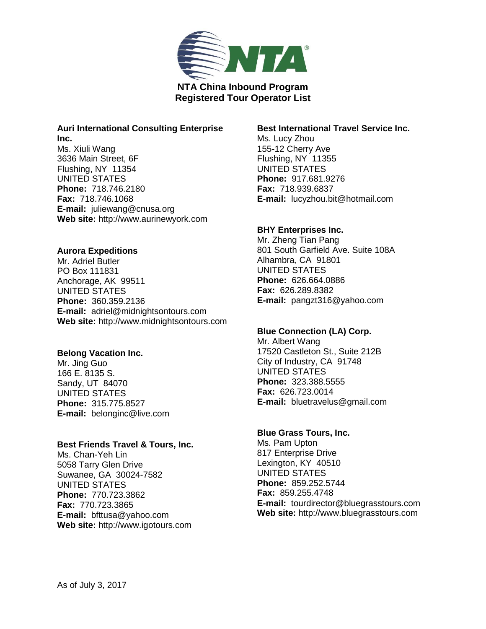

#### **Auri International Consulting Enterprise Inc.**

Ms. Xiuli Wang 3636 Main Street, 6F Flushing, NY 11354 UNITED STATES **Phone:** 718.746.2180 **Fax:** 718.746.1068 **E-mail:** juliewang@cnusa.org **Web site:** http://www.aurinewyork.com

# **Aurora Expeditions**

Mr. Adriel Butler PO Box 111831 Anchorage, AK 99511 UNITED STATES **Phone:** 360.359.2136 **E-mail:** adriel@midnightsontours.com **Web site:** http://www.midnightsontours.com

# **Belong Vacation Inc.**

Mr. Jing Guo 166 E. 8135 S. Sandy, UT 84070 UNITED STATES **Phone:** 315.775.8527 **E-mail:** belonginc@live.com

# **Best Friends Travel & Tours, Inc.**

Ms. Chan-Yeh Lin 5058 Tarry Glen Drive Suwanee, GA 30024-7582 UNITED STATES **Phone:** 770.723.3862 **Fax:** 770.723.3865 **E-mail:** bfttusa@yahoo.com **Web site:** http://www.igotours.com

# **Best International Travel Service Inc.**

Ms. Lucy Zhou 155-12 Cherry Ave Flushing, NY 11355 UNITED STATES **Phone:** 917.681.9276 **Fax:** 718.939.6837 **E-mail:** lucyzhou.bit@hotmail.com

# **BHY Enterprises Inc.**

Mr. Zheng Tian Pang 801 South Garfield Ave. Suite 108A Alhambra, CA 91801 UNITED STATES **Phone:** 626.664.0886 **Fax:** 626.289.8382 **E-mail:** pangzt316@yahoo.com

# **Blue Connection (LA) Corp.**

Mr. Albert Wang 17520 Castleton St., Suite 212B City of Industry, CA 91748 UNITED STATES **Phone:** 323.388.5555 **Fax:** 626.723.0014 **E-mail:** bluetravelus@gmail.com

# **Blue Grass Tours, Inc.**

Ms. Pam Upton 817 Enterprise Drive Lexington, KY 40510 UNITED STATES **Phone:** 859.252.5744 **Fax:** 859.255.4748 **E-mail:** tourdirector@bluegrasstours.com **Web site:** http://www.bluegrasstours.com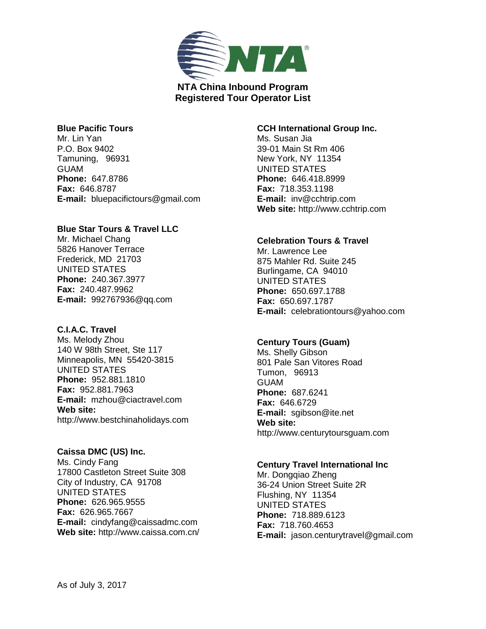

### **Blue Pacific Tours**

Mr. Lin Yan P.O. Box 9402 Tamuning, 96931 GUAM **Phone:** 647.8786 **Fax:** 646.8787 **E-mail:** bluepacifictours@gmail.com

## **Blue Star Tours & Travel LLC**

Mr. Michael Chang 5826 Hanover Terrace Frederick, MD 21703 UNITED STATES **Phone:** 240.367.3977 **Fax:** 240.487.9962 **E-mail:** 992767936@qq.com

# **C.I.A.C. Travel**

Ms. Melody Zhou 140 W 98th Street, Ste 117 Minneapolis, MN 55420-3815 UNITED STATES **Phone:** 952.881.1810 **Fax:** 952.881.7963 **E-mail:** mzhou@ciactravel.com **Web site:**  http://www.bestchinaholidays.com

**Caissa DMC (US) Inc.** Ms. Cindy Fang 17800 Castleton Street Suite 308 City of Industry, CA 91708 UNITED STATES **Phone:** 626.965.9555 **Fax:** 626.965.7667 **E-mail:** cindyfang@caissadmc.com **Web site:** http://www.caissa.com.cn/

# **CCH International Group Inc.**

Ms. Susan Jia 39-01 Main St Rm 406 New York, NY 11354 UNITED STATES **Phone:** 646.418.8999 **Fax:** 718.353.1198 **E-mail:** inv@cchtrip.com **Web site:** http://www.cchtrip.com

# **Celebration Tours & Travel**

Mr. Lawrence Lee 875 Mahler Rd. Suite 245 Burlingame, CA 94010 UNITED STATES **Phone:** 650.697.1788 **Fax:** 650.697.1787 **E-mail:** celebrationtours@yahoo.com

# **Century Tours (Guam)**

Ms. Shelly Gibson 801 Pale San Vitores Road Tumon, 96913 **GUAM Phone:** 687.6241 **Fax:** 646.6729 **E-mail:** sgibson@ite.net **Web site:**  http://www.centurytoursguam.com

# **Century Travel International Inc**

Mr. Dongqiao Zheng 36-24 Union Street Suite 2R Flushing, NY 11354 UNITED STATES **Phone:** 718.889.6123 **Fax:** 718.760.4653 **E-mail:** jason.centurytravel@gmail.com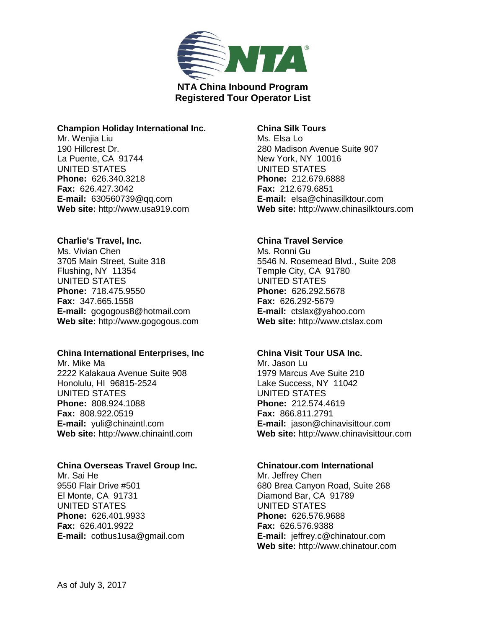

### **Champion Holiday International Inc.**

Mr. Wenjia Liu 190 Hillcrest Dr. La Puente, CA 91744 UNITED STATES **Phone:** 626.340.3218 **Fax:** 626.427.3042 **E-mail:** 630560739@qq.com **Web site:** http://www.usa919.com

## **Charlie's Travel, Inc.**

Ms. Vivian Chen 3705 Main Street, Suite 318 Flushing, NY 11354 UNITED STATES **Phone:** 718.475.9550 **Fax:** 347.665.1558 **E-mail:** gogogous8@hotmail.com **Web site:** http://www.gogogous.com

### **China International Enterprises, Inc**

Mr. Mike Ma 2222 Kalakaua Avenue Suite 908 Honolulu, HI 96815-2524 UNITED STATES **Phone:** 808.924.1088 **Fax:** 808.922.0519 **E-mail:** yuli@chinaintl.com **Web site:** http://www.chinaintl.com

## **China Overseas Travel Group Inc.**

Mr. Sai He 9550 Flair Drive #501 El Monte, CA 91731 UNITED STATES **Phone:** 626.401.9933 **Fax:** 626.401.9922 **E-mail:** cotbus1usa@gmail.com

## **China Silk Tours**

Ms. Elsa Lo 280 Madison Avenue Suite 907 New York, NY 10016 UNITED STATES **Phone:** 212.679.6888 **Fax:** 212.679.6851 **E-mail:** elsa@chinasilktour.com **Web site:** http://www.chinasilktours.com

# **China Travel Service**

Ms. Ronni Gu 5546 N. Rosemead Blvd., Suite 208 Temple City, CA 91780 UNITED STATES **Phone:** 626.292.5678 **Fax:** 626.292-5679 **E-mail:** ctslax@yahoo.com **Web site:** http://www.ctslax.com

# **China Visit Tour USA Inc.**

Mr. Jason Lu 1979 Marcus Ave Suite 210 Lake Success, NY 11042 UNITED STATES **Phone:** 212.574.4619 **Fax:** 866.811.2791 **E-mail:** jason@chinavisittour.com **Web site:** http://www.chinavisittour.com

### **Chinatour.com International**

Mr. Jeffrey Chen 680 Brea Canyon Road, Suite 268 Diamond Bar, CA 91789 UNITED STATES **Phone:** 626.576.9688 **Fax:** 626.576.9388 **E-mail:** jeffrey.c@chinatour.com **Web site:** http://www.chinatour.com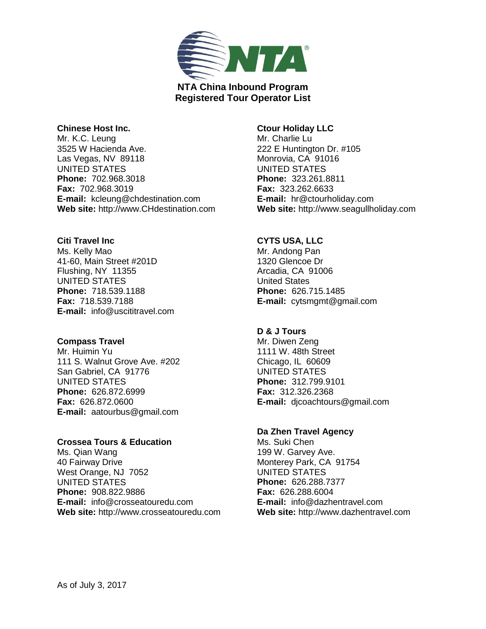

### **Chinese Host Inc.**

Mr. K.C. Leung 3525 W Hacienda Ave. Las Vegas, NV 89118 UNITED STATES **Phone:** 702.968.3018 **Fax:** 702.968.3019 **E-mail:** kcleung@chdestination.com **Web site:** http://www.CHdestination.com

#### **Citi Travel Inc**

Ms. Kelly Mao 41-60, Main Street #201D Flushing, NY 11355 UNITED STATES **Phone:** 718.539.1188 **Fax:** 718.539.7188 **E-mail:** info@uscititravel.com

### **Compass Travel**

Mr. Huimin Yu 111 S. Walnut Grove Ave. #202 San Gabriel, CA 91776 UNITED STATES **Phone:** 626.872.6999 **Fax:** 626.872.0600 **E-mail:** aatourbus@gmail.com

# **Crossea Tours & Education**

Ms. Qian Wang 40 Fairway Drive West Orange, NJ 7052 UNITED STATES **Phone:** 908.822.9886 **E-mail:** info@crosseatouredu.com **Web site:** http://www.crosseatouredu.com

## **Ctour Holiday LLC**

Mr. Charlie Lu 222 E Huntington Dr. #105 Monrovia, CA 91016 UNITED STATES **Phone:** 323.261.8811 **Fax:** 323.262.6633 **E-mail:** hr@ctourholiday.com **Web site:** http://www.seagullholiday.com

# **CYTS USA, LLC**

Mr. Andong Pan 1320 Glencoe Dr Arcadia, CA 91006 United States **Phone:** 626.715.1485 **E-mail:** cytsmgmt@gmail.com

### **D & J Tours**

Mr. Diwen Zeng 1111 W. 48th Street Chicago, IL 60609 UNITED STATES **Phone:** 312.799.9101 **Fax:** 312.326.2368 **E-mail:** djcoachtours@gmail.com

# **Da Zhen Travel Agency**

Ms. Suki Chen 199 W. Garvey Ave. Monterey Park, CA 91754 UNITED STATES **Phone:** 626.288.7377 **Fax:** 626.288.6004 **E-mail:** info@dazhentravel.com **Web site:** http://www.dazhentravel.com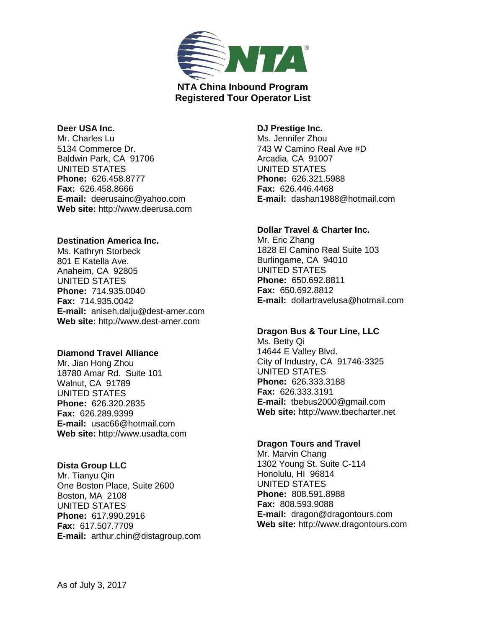

#### **Deer USA Inc.**

Mr. Charles Lu 5134 Commerce Dr. Baldwin Park, CA 91706 UNITED STATES **Phone:** 626.458.8777 **Fax:** 626.458.8666 **E-mail:** deerusainc@yahoo.com **Web site:** http://www.deerusa.com

### **Destination America Inc.**

Ms. Kathryn Storbeck 801 E Katella Ave. Anaheim, CA 92805 UNITED STATES **Phone:** 714.935.0040 **Fax:** 714.935.0042 **E-mail:** aniseh.dalju@dest-amer.com **Web site:** http://www.dest-amer.com

### **Diamond Travel Alliance**

Mr. Jian Hong Zhou 18780 Amar Rd. Suite 101 Walnut, CA 91789 UNITED STATES **Phone:** 626.320.2835 **Fax:** 626.289.9399 **E-mail:** usac66@hotmail.com **Web site:** http://www.usadta.com

### **Dista Group LLC**

Mr. Tianyu Qin One Boston Place, Suite 2600 Boston, MA 2108 UNITED STATES **Phone:** 617.990.2916 **Fax:** 617.507.7709 **E-mail:** arthur.chin@distagroup.com

## **DJ Prestige Inc.** Ms. Jennifer Zhou 743 W Camino Real Ave #D Arcadia, CA 91007 UNITED STATES **Phone:** 626.321.5988 **Fax:** 626.446.4468 **E-mail:** dashan1988@hotmail.com

### **Dollar Travel & Charter Inc.**

Mr. Eric Zhang 1828 El Camino Real Suite 103 Burlingame, CA 94010 UNITED STATES **Phone:** 650.692.8811 **Fax:** 650.692.8812 **E-mail:** dollartravelusa@hotmail.com

### **Dragon Bus & Tour Line, LLC**

Ms. Betty Qi 14644 E Valley Blvd. City of Industry, CA 91746-3325 UNITED STATES **Phone:** 626.333.3188 **Fax:** 626.333.3191 **E-mail:** tbebus2000@gmail.com **Web site:** http://www.tbecharter.net

### **Dragon Tours and Travel**

Mr. Marvin Chang 1302 Young St. Suite C-114 Honolulu, HI 96814 UNITED STATES **Phone:** 808.591.8988 **Fax:** 808.593.9088 **E-mail:** dragon@dragontours.com **Web site:** http://www.dragontours.com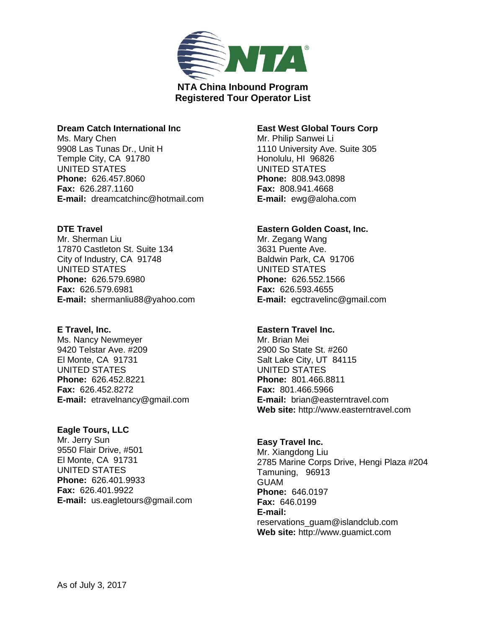

### **Dream Catch International Inc**

Ms. Mary Chen 9908 Las Tunas Dr., Unit H Temple City, CA 91780 UNITED STATES **Phone:** 626.457.8060 **Fax:** 626.287.1160 **E-mail:** dreamcatchinc@hotmail.com

### **DTE Travel**

Mr. Sherman Liu 17870 Castleton St. Suite 134 City of Industry, CA 91748 UNITED STATES **Phone:** 626.579.6980 **Fax:** 626.579.6981 **E-mail:** shermanliu88@yahoo.com

# **E Travel, Inc.**

Ms. Nancy Newmeyer 9420 Telstar Ave. #209 El Monte, CA 91731 UNITED STATES **Phone:** 626.452.8221 **Fax:** 626.452.8272 **E-mail:** etravelnancy@gmail.com

# **Eagle Tours, LLC**

Mr. Jerry Sun 9550 Flair Drive, #501 El Monte, CA 91731 UNITED STATES **Phone:** 626.401.9933 **Fax:** 626.401.9922 **E-mail:** us.eagletours@gmail.com

# **East West Global Tours Corp**

Mr. Philip Sanwei Li 1110 University Ave. Suite 305 Honolulu, HI 96826 UNITED STATES **Phone:** 808.943.0898 **Fax:** 808.941.4668 **E-mail:** ewg@aloha.com

## **Eastern Golden Coast, Inc.**

Mr. Zegang Wang 3631 Puente Ave. Baldwin Park, CA 91706 UNITED STATES **Phone:** 626.552.1566 **Fax:** 626.593.4655 **E-mail:** egctravelinc@gmail.com

# **Eastern Travel Inc.**

Mr. Brian Mei 2900 So State St. #260 Salt Lake City, UT 84115 UNITED STATES **Phone:** 801.466.8811 **Fax:** 801.466.5966 **E-mail:** brian@easterntravel.com **Web site:** http://www.easterntravel.com

# **Easy Travel Inc.**

Mr. Xiangdong Liu 2785 Marine Corps Drive, Hengi Plaza #204 Tamuning, 96913 GUAM **Phone:** 646.0197 **Fax:** 646.0199 **E-mail:**  reservations\_guam@islandclub.com **Web site:** http://www.guamict.com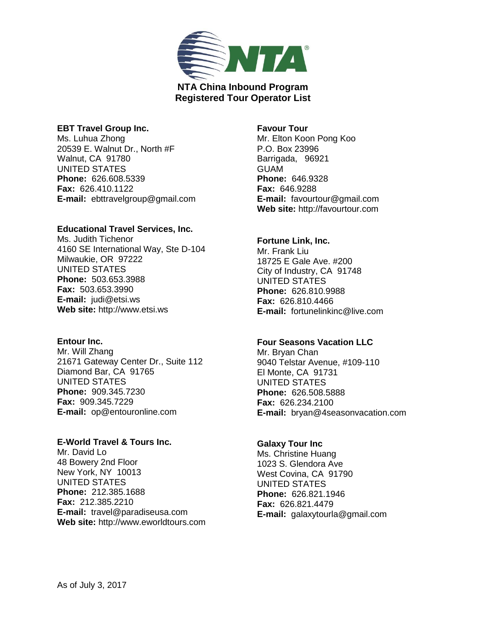

### **EBT Travel Group Inc.**

Ms. Luhua Zhong 20539 E. Walnut Dr., North #F Walnut, CA 91780 UNITED STATES **Phone:** 626.608.5339 **Fax:** 626.410.1122 **E-mail:** ebttravelgroup@gmail.com

### **Educational Travel Services, Inc.**

Ms. Judith Tichenor 4160 SE International Way, Ste D-104 Milwaukie, OR 97222 UNITED STATES **Phone:** 503.653.3988 **Fax:** 503.653.3990 **E-mail:** judi@etsi.ws **Web site:** http://www.etsi.ws

## **Entour Inc.**

Mr. Will Zhang 21671 Gateway Center Dr., Suite 112 Diamond Bar, CA 91765 UNITED STATES **Phone:** 909.345.7230 **Fax:** 909.345.7229 **E-mail:** op@entouronline.com

# **E-World Travel & Tours Inc.**

Mr. David Lo 48 Bowery 2nd Floor New York, NY 10013 UNITED STATES **Phone:** 212.385.1688 **Fax:** 212.385.2210 **E-mail:** travel@paradiseusa.com **Web site:** http://www.eworldtours.com

## **Favour Tour**

Mr. Elton Koon Pong Koo P.O. Box 23996 Barrigada, 96921 GUAM **Phone:** 646.9328 **Fax:** 646.9288 **E-mail:** favourtour@gmail.com **Web site:** http://favourtour.com

## **Fortune Link, Inc.**

Mr. Frank Liu 18725 E Gale Ave. #200 City of Industry, CA 91748 UNITED STATES **Phone:** 626.810.9988 **Fax:** 626.810.4466 **E-mail:** fortunelinkinc@live.com

# **Four Seasons Vacation LLC**

Mr. Bryan Chan 9040 Telstar Avenue, #109-110 El Monte, CA 91731 UNITED STATES **Phone:** 626.508.5888 **Fax:** 626.234.2100 **E-mail:** bryan@4seasonvacation.com

### **Galaxy Tour Inc**

Ms. Christine Huang 1023 S. Glendora Ave West Covina, CA 91790 UNITED STATES **Phone:** 626.821.1946 **Fax:** 626.821.4479 **E-mail:** galaxytourla@gmail.com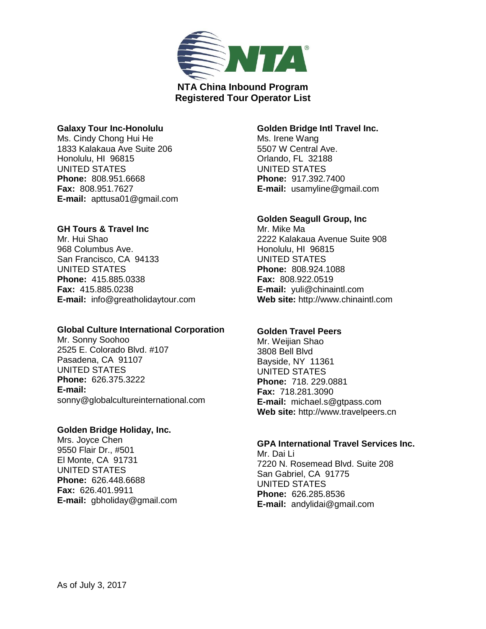

### **Galaxy Tour Inc-Honolulu**

Ms. Cindy Chong Hui He 1833 Kalakaua Ave Suite 206 Honolulu, HI 96815 UNITED STATES **Phone:** 808.951.6668 **Fax:** 808.951.7627 **E-mail:** apttusa01@gmail.com

## **GH Tours & Travel Inc**

Mr. Hui Shao 968 Columbus Ave. San Francisco, CA 94133 UNITED STATES **Phone:** 415.885.0338 **Fax:** 415.885.0238 **E-mail:** info@greatholidaytour.com

### **Global Culture International Corporation**

Mr. Sonny Soohoo 2525 E. Colorado Blvd. #107 Pasadena, CA 91107 UNITED STATES **Phone:** 626.375.3222 **E-mail:**  sonny@globalcultureinternational.com

## **Golden Bridge Holiday, Inc.**

Mrs. Joyce Chen 9550 Flair Dr., #501 El Monte, CA 91731 UNITED STATES **Phone:** 626.448.6688 **Fax:** 626.401.9911 **E-mail:** gbholiday@gmail.com

## **Golden Bridge Intl Travel Inc.**

Ms. Irene Wang 5507 W Central Ave. Orlando, FL 32188 UNITED STATES **Phone:** 917.392.7400 **E-mail:** usamyline@gmail.com

# **Golden Seagull Group, Inc**

Mr. Mike Ma 2222 Kalakaua Avenue Suite 908 Honolulu, HI 96815 UNITED STATES **Phone:** 808.924.1088 **Fax:** 808.922.0519 **E-mail:** yuli@chinaintl.com **Web site:** http://www.chinaintl.com

### **Golden Travel Peers**

Mr. Weijian Shao 3808 Bell Blvd Bayside, NY 11361 UNITED STATES **Phone:** 718. 229.0881 **Fax:** 718.281.3090 **E-mail:** michael.s@gtpass.com **Web site:** http://www.travelpeers.cn

# **GPA International Travel Services Inc.**

Mr. Dai Li 7220 N. Rosemead Blvd. Suite 208 San Gabriel, CA 91775 UNITED STATES **Phone:** 626.285.8536 **E-mail:** andylidai@gmail.com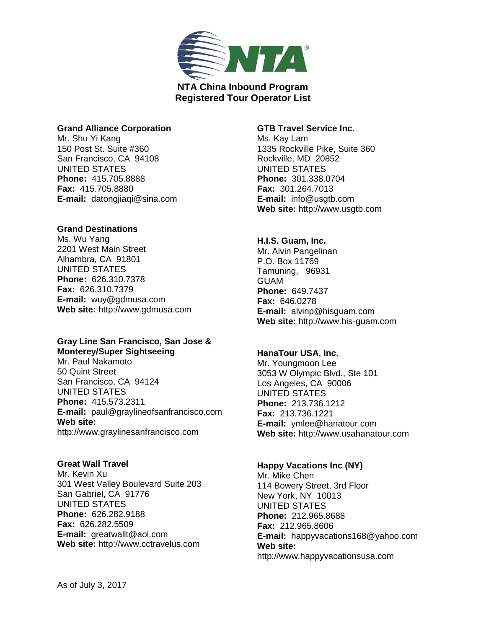

### **Grand Alliance Corporation**

Mr. Shu Yi Kang 150 Post St. Suite #360 San Francisco, CA 94108 UNITED STATES **Phone:** 415.705.8888 **Fax:** 415.705.8880 **E-mail:** datongjiaqi@sina.com

## **Grand Destinations**

Ms. Wu Yang 2201 West Main Street Alhambra, CA 91801 UNITED STATES **Phone:** 626.310.7378 **Fax:** 626.310.7379 **E-mail:** wuy@gdmusa.com **Web site:** http://www.gdmusa.com

#### **Gray Line San Francisco, San Jose & Monterey/Super Sightseeing**

Mr. Paul Nakamoto 50 Quint Street San Francisco, CA 94124 UNITED STATES **Phone:** 415.573.2311 **E-mail:** paul@graylineofsanfrancisco.com **Web site:**  http://www.graylinesanfrancisco.com

# **Great Wall Travel**

Mr. Kevin Xu 301 West Valley Boulevard Suite 203 San Gabriel, CA 91776 UNITED STATES **Phone:** 626.282.9188 **Fax:** 626.282.5509 **E-mail:** greatwallt@aol.com **Web site:** http://www.cctravelus.com

### **GTB Travel Service Inc.**

Ms. Kay Lam 1335 Rockville Pike, Suite 360 Rockville, MD 20852 UNITED STATES **Phone:** 301.338.0704 **Fax:** 301.264.7013 **E-mail:** info@usgtb.com **Web site:** http://www.usgtb.com

# **H.I.S. Guam, Inc.**

Mr. Alvin Pangelinan P.O. Box 11769 Tamuning, 96931 GUAM **Phone:** 649.7437 **Fax:** 646.0278 **E-mail:** alvinp@hisguam.com **Web site:** http://www.his-guam.com

# **HanaTour USA, Inc.**

Mr. Youngmoon Lee 3053 W Olympic Blvd., Ste 101 Los Angeles, CA 90006 UNITED STATES **Phone:** 213.736.1212 **Fax:** 213.736.1221 **E-mail:** ymlee@hanatour.com **Web site:** http://www.usahanatour.com

### **Happy Vacations Inc (NY)**

Mr. Mike Chen 114 Bowery Street, 3rd Floor New York, NY 10013 UNITED STATES **Phone:** 212.965.8688 **Fax:** 212.965.8606 **E-mail:** happyvacations168@yahoo.com **Web site:**  http://www.happyvacationsusa.com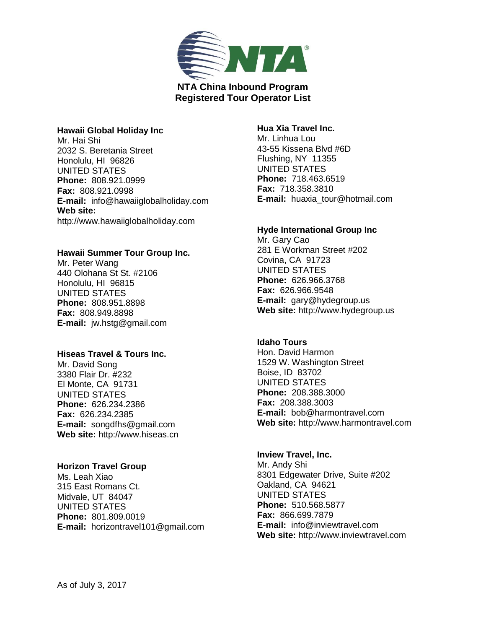

### **Hawaii Global Holiday Inc**

Mr. Hai Shi 2032 S. Beretania Street Honolulu, HI 96826 UNITED STATES **Phone:** 808.921.0999 **Fax:** 808.921.0998 **E-mail:** info@hawaiiglobalholiday.com **Web site:**  http://www.hawaiiglobalholiday.com

## **Hawaii Summer Tour Group Inc.**

Mr. Peter Wang 440 Olohana St St. #2106 Honolulu, HI 96815 UNITED STATES **Phone:** 808.951.8898 **Fax:** 808.949.8898 **E-mail:** jw.hstg@gmail.com

# **Hiseas Travel & Tours Inc.**

Mr. David Song 3380 Flair Dr. #232 El Monte, CA 91731 UNITED STATES **Phone:** 626.234.2386 **Fax:** 626.234.2385 **E-mail:** songdfhs@gmail.com **Web site:** http://www.hiseas.cn

### **Horizon Travel Group**

Ms. Leah Xiao 315 East Romans Ct. Midvale, UT 84047 UNITED STATES **Phone:** 801.809.0019 **E-mail:** horizontravel101@gmail.com

## **Hua Xia Travel Inc.**

Mr. Linhua Lou 43-55 Kissena Blvd #6D Flushing, NY 11355 UNITED STATES **Phone:** 718.463.6519 **Fax:** 718.358.3810 **E-mail:** huaxia\_tour@hotmail.com

### **Hyde International Group Inc**

Mr. Gary Cao 281 E Workman Street #202 Covina, CA 91723 UNITED STATES **Phone:** 626.966.3768 **Fax:** 626.966.9548 **E-mail:** gary@hydegroup.us **Web site:** http://www.hydegroup.us

# **Idaho Tours**

Hon. David Harmon 1529 W. Washington Street Boise, ID 83702 UNITED STATES **Phone:** 208.388.3000 **Fax:** 208.388.3003 **E-mail:** bob@harmontravel.com **Web site:** http://www.harmontravel.com

#### **Inview Travel, Inc.**

Mr. Andy Shi 8301 Edgewater Drive, Suite #202 Oakland, CA 94621 UNITED STATES **Phone:** 510.568.5877 **Fax:** 866.699.7879 **E-mail:** info@inviewtravel.com **Web site:** http://www.inviewtravel.com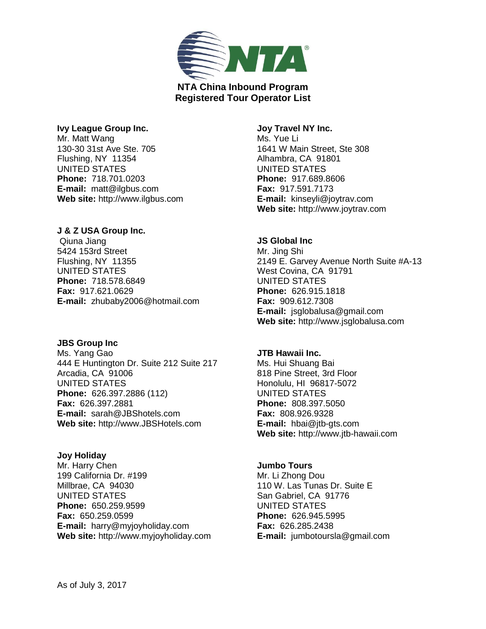

### **Ivy League Group Inc.**

Mr. Matt Wang 130-30 31st Ave Ste. 705 Flushing, NY 11354 UNITED STATES **Phone:** 718.701.0203 **E-mail:** matt@ilgbus.com **Web site:** http://www.ilgbus.com

## **J & Z USA Group Inc.**

Qiuna Jiang 5424 153rd Street Flushing, NY 11355 UNITED STATES **Phone:** 718.578.6849 **Fax:** 917.621.0629 **E-mail:** zhubaby2006@hotmail.com

# **JBS Group Inc**

Ms. Yang Gao 444 E Huntington Dr. Suite 212 Suite 217 Arcadia, CA 91006 UNITED STATES **Phone:** 626.397.2886 (112) **Fax:** 626.397.2881 **E-mail:** sarah@JBShotels.com **Web site:** http://www.JBSHotels.com

### **Joy Holiday**

Mr. Harry Chen 199 California Dr. #199 Millbrae, CA 94030 UNITED STATES **Phone:** 650.259.9599 **Fax:** 650.259.0599 **E-mail:** harry@myjoyholiday.com **Web site:** http://www.myjoyholiday.com

## **Joy Travel NY Inc.** Ms. Yue Li 1641 W Main Street, Ste 308 Alhambra, CA 91801 UNITED STATES **Phone:** 917.689.8606 **Fax:** 917.591.7173 **E-mail:** kinseyli@joytrav.com **Web site:** http://www.joytrav.com

## **JS Global Inc**

Mr. Jing Shi 2149 E. Garvey Avenue North Suite #A-13 West Covina, CA 91791 UNITED STATES **Phone:** 626.915.1818 **Fax:** 909.612.7308 **E-mail:** jsglobalusa@gmail.com **Web site:** http://www.jsglobalusa.com

# **JTB Hawaii Inc.**

Ms. Hui Shuang Bai 818 Pine Street, 3rd Floor Honolulu, HI 96817-5072 UNITED STATES **Phone:** 808.397.5050 **Fax:** 808.926.9328 **E-mail:** hbai@jtb-gts.com **Web site:** http://www.jtb-hawaii.com

### **Jumbo Tours**

Mr. Li Zhong Dou 110 W. Las Tunas Dr. Suite E San Gabriel, CA 91776 UNITED STATES **Phone:** 626.945.5995 **Fax:** 626.285.2438 **E-mail:** jumbotoursla@gmail.com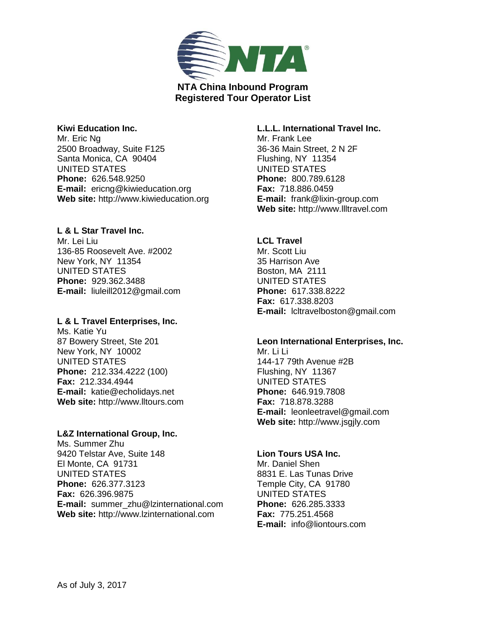

### **Kiwi Education Inc.**

Mr. Eric Ng 2500 Broadway, Suite F125 Santa Monica, CA 90404 UNITED STATES **Phone:** 626.548.9250 **E-mail:** ericng@kiwieducation.org **Web site:** http://www.kiwieducation.org

## **L & L Star Travel Inc.**

Mr. Lei Liu 136-85 Roosevelt Ave. #2002 New York, NY 11354 UNITED STATES **Phone:** 929.362.3488 **E-mail:** liuleill2012@gmail.com

### **L & L Travel Enterprises, Inc.**

Ms. Katie Yu 87 Bowery Street, Ste 201 New York, NY 10002 UNITED STATES **Phone:** 212.334.4222 (100) **Fax:** 212.334.4944 **E-mail:** katie@echolidays.net **Web site:** http://www.lltours.com

### **L&Z International Group, Inc.**

Ms. Summer Zhu 9420 Telstar Ave, Suite 148 El Monte, CA 91731 UNITED STATES **Phone:** 626.377.3123 **Fax:** 626.396.9875 **E-mail:** summer\_zhu@lzinternational.com **Web site:** http://www.lzinternational.com

## **L.L.L. International Travel Inc.**

Mr. Frank Lee 36-36 Main Street, 2 N 2F Flushing, NY 11354 UNITED STATES **Phone:** 800.789.6128 **Fax:** 718.886.0459 **E-mail:** frank@lixin-group.com **Web site:** http://www.llltravel.com

# **LCL Travel**

Mr. Scott Liu 35 Harrison Ave Boston, MA 2111 UNITED STATES **Phone:** 617.338.8222 **Fax:** 617.338.8203 **E-mail:** lcltravelboston@gmail.com

# **Leon International Enterprises, Inc.**

Mr. Li Li 144-17 79th Avenue #2B Flushing, NY 11367 UNITED STATES **Phone:** 646.919.7808 **Fax:** 718.878.3288 **E-mail:** leonleetravel@gmail.com **Web site:** http://www.jsgjly.com

# **Lion Tours USA Inc.**

Mr. Daniel Shen 8831 E. Las Tunas Drive Temple City, CA 91780 UNITED STATES **Phone:** 626.285.3333 **Fax:** 775.251.4568 **E-mail:** info@liontours.com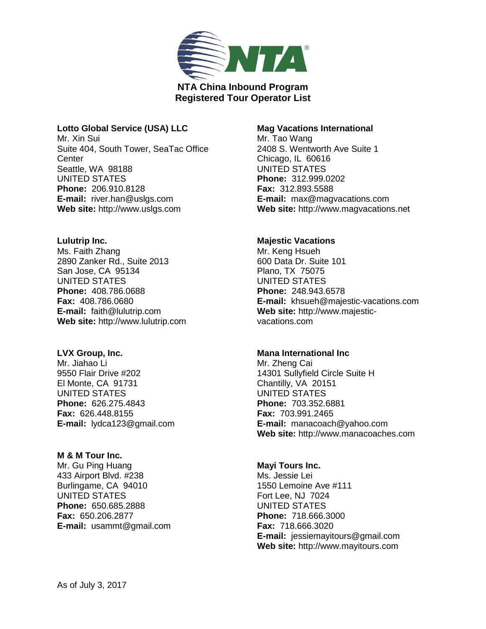

## **Lotto Global Service (USA) LLC**

Mr. Xin Sui Suite 404, South Tower, SeaTac Office **Center** Seattle, WA 98188 UNITED STATES **Phone:** 206.910.8128 **E-mail:** river.han@uslgs.com **Web site:** http://www.uslgs.com

## **Lulutrip Inc.**

Ms. Faith Zhang 2890 Zanker Rd., Suite 2013 San Jose, CA 95134 UNITED STATES **Phone:** 408.786.0688 **Fax:** 408.786.0680 **E-mail:** faith@lulutrip.com **Web site:** http://www.lulutrip.com

# **LVX Group, Inc.**

Mr. Jiahao Li 9550 Flair Drive #202 El Monte, CA 91731 UNITED STATES **Phone:** 626.275.4843 **Fax:** 626.448.8155 **E-mail:** lydca123@gmail.com

# **M & M Tour Inc.**

Mr. Gu Ping Huang 433 Airport Blvd. #238 Burlingame, CA 94010 UNITED STATES **Phone:** 650.685.2888 **Fax:** 650.206.2877 **E-mail:** usammt@gmail.com

# **Mag Vacations International**

Mr. Tao Wang 2408 S. Wentworth Ave Suite 1 Chicago, IL 60616 UNITED STATES **Phone:** 312.999.0202 **Fax:** 312.893.5588 **E-mail:** max@magvacations.com **Web site:** http://www.magvacations.net

# **Majestic Vacations**

Mr. Keng Hsueh 600 Data Dr. Suite 101 Plano, TX 75075 UNITED STATES **Phone:** 248.943.6578 **E-mail:** khsueh@majestic-vacations.com **Web site:** http://www.majesticvacations.com

# **Mana International Inc**

Mr. Zheng Cai 14301 Sullyfield Circle Suite H Chantilly, VA 20151 UNITED STATES **Phone:** 703.352.6881 **Fax:** 703.991.2465 **E-mail:** manacoach@yahoo.com **Web site:** http://www.manacoaches.com

### **Mayi Tours Inc.**

Ms. Jessie Lei 1550 Lemoine Ave #111 Fort Lee, NJ 7024 UNITED STATES **Phone:** 718.666.3000 **Fax:** 718.666.3020 **E-mail:** jessiemayitours@gmail.com **Web site:** http://www.mayitours.com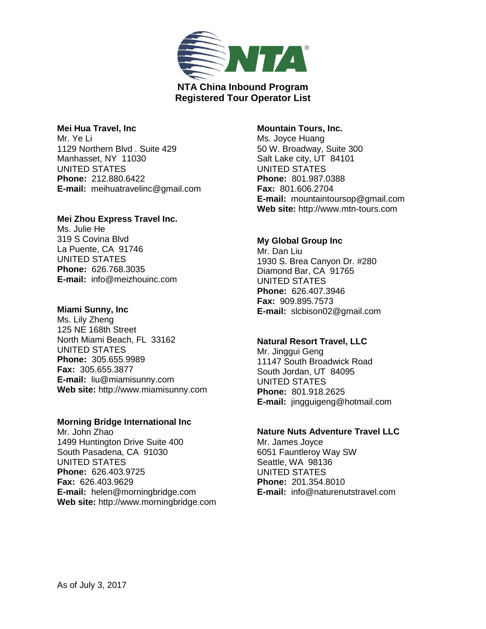

## **Mei Hua Travel, Inc**

Mr. Ye Li 1129 Northern Blvd . Suite 429 Manhasset, NY 11030 UNITED STATES **Phone:** 212.880.6422 **E-mail:** meihuatravelinc@gmail.com

# **Mei Zhou Express Travel Inc.**

Ms. Julie He 319 S Covina Blvd La Puente, CA 91746 UNITED STATES **Phone:** 626.768.3035 **E-mail:** info@meizhouinc.com

## **Miami Sunny, Inc**

Ms. Lily Zheng 125 NE 168th Street North Miami Beach, FL 33162 UNITED STATES **Phone:** 305.655.9989 **Fax:** 305.655.3877 **E-mail:** liu@miamisunny.com **Web site:** http://www.miamisunny.com

# **Morning Bridge International Inc**

Mr. John Zhao 1499 Huntington Drive Suite 400 South Pasadena, CA 91030 UNITED STATES **Phone:** 626.403.9725 **Fax:** 626.403.9629 **E-mail:** helen@morningbridge.com **Web site:** http://www.morningbridge.com

## **Mountain Tours, Inc.**

Ms. Joyce Huang 50 W. Broadway, Suite 300 Salt Lake city, UT 84101 UNITED STATES **Phone:** 801.987.0388 **Fax:** 801.606.2704 **E-mail:** mountaintoursop@gmail.com **Web site:** http://www.mtn-tours.com

# **My Global Group Inc**

Mr. Dan Liu 1930 S. Brea Canyon Dr. #280 Diamond Bar, CA 91765 UNITED STATES **Phone:** 626.407.3946 **Fax:** 909.895.7573 **E-mail:** slcbison02@gmail.com

# **Natural Resort Travel, LLC**

Mr. Jinggui Geng 11147 South Broadwick Road South Jordan, UT 84095 UNITED STATES **Phone:** 801.918.2625 **E-mail:** jingguigeng@hotmail.com

# **Nature Nuts Adventure Travel LLC**

Mr. James Joyce 6051 Fauntleroy Way SW Seattle, WA 98136 UNITED STATES **Phone:** 201.354.8010 **E-mail:** info@naturenutstravel.com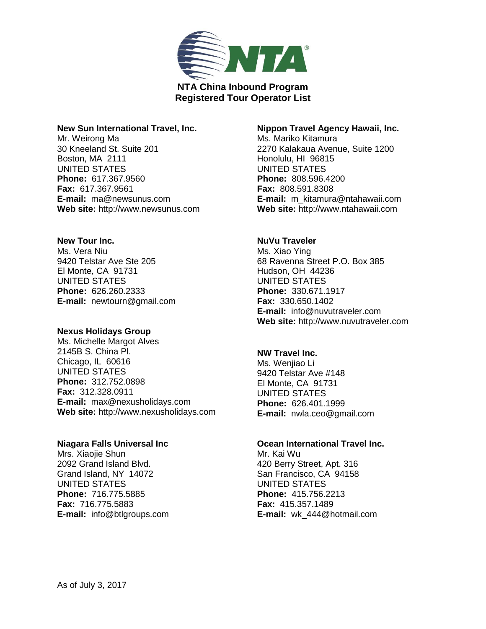

### **New Sun International Travel, Inc.**

Mr. Weirong Ma 30 Kneeland St. Suite 201 Boston, MA 2111 UNITED STATES **Phone:** 617.367.9560 **Fax:** 617.367.9561 **E-mail:** ma@newsunus.com **Web site:** http://www.newsunus.com

## **New Tour Inc.**

Ms. Vera Niu 9420 Telstar Ave Ste 205 El Monte, CA 91731 UNITED STATES **Phone:** 626.260.2333 **E-mail:** newtourn@gmail.com

### **Nexus Holidays Group**

Ms. Michelle Margot Alves 2145B S. China Pl. Chicago, IL 60616 UNITED STATES **Phone:** 312.752.0898 **Fax:** 312.328.0911 **E-mail:** max@nexusholidays.com **Web site:** http://www.nexusholidays.com

### **Niagara Falls Universal Inc**

Mrs. Xiaojie Shun 2092 Grand Island Blvd. Grand Island, NY 14072 UNITED STATES **Phone:** 716.775.5885 **Fax:** 716.775.5883 **E-mail:** info@btlgroups.com

## **Nippon Travel Agency Hawaii, Inc.**

Ms. Mariko Kitamura 2270 Kalakaua Avenue, Suite 1200 Honolulu, HI 96815 UNITED STATES **Phone:** 808.596.4200 **Fax:** 808.591.8308 **E-mail:** m\_kitamura@ntahawaii.com **Web site:** http://www.ntahawaii.com

### **NuVu Traveler**

Ms. Xiao Ying 68 Ravenna Street P.O. Box 385 Hudson, OH 44236 UNITED STATES **Phone:** 330.671.1917 **Fax:** 330.650.1402 **E-mail:** info@nuvutraveler.com **Web site:** http://www.nuvutraveler.com

## **NW Travel Inc.**

Ms. Wenjiao Li 9420 Telstar Ave #148 El Monte, CA 91731 UNITED STATES **Phone:** 626.401.1999 **E-mail:** nwla.ceo@gmail.com

### **Ocean International Travel Inc.**

Mr. Kai Wu 420 Berry Street, Apt. 316 San Francisco, CA 94158 UNITED STATES **Phone:** 415.756.2213 **Fax:** 415.357.1489 **E-mail:** wk\_444@hotmail.com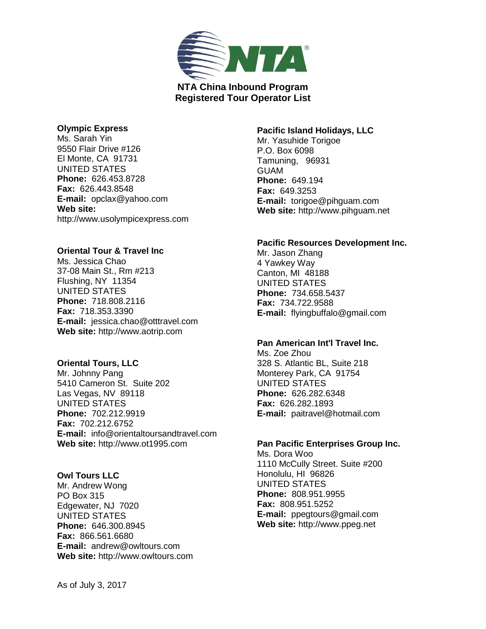

### **Olympic Express**

Ms. Sarah Yin 9550 Flair Drive #126 El Monte, CA 91731 UNITED STATES **Phone:** 626.453.8728 **Fax:** 626.443.8548 **E-mail:** opclax@yahoo.com **Web site:**  http://www.usolympicexpress.com

## **Oriental Tour & Travel Inc**

Ms. Jessica Chao 37-08 Main St., Rm #213 Flushing, NY 11354 UNITED STATES **Phone:** 718.808.2116 **Fax:** 718.353.3390 **E-mail:** jessica.chao@otttravel.com **Web site:** http://www.aotrip.com

### **Oriental Tours, LLC**

Mr. Johnny Pang 5410 Cameron St. Suite 202 Las Vegas, NV 89118 UNITED STATES **Phone:** 702.212.9919 **Fax:** 702.212.6752 **E-mail:** info@orientaltoursandtravel.com **Web site:** http://www.ot1995.com

### **Owl Tours LLC**

Mr. Andrew Wong PO Box 315 Edgewater, NJ 7020 UNITED STATES **Phone:** 646.300.8945 **Fax:** 866.561.6680 **E-mail:** andrew@owltours.com **Web site:** http://www.owltours.com

## **Pacific Island Holidays, LLC**

Mr. Yasuhide Torigoe P.O. Box 6098 Tamuning, 96931 GUAM **Phone:** 649.194 **Fax:** 649.3253 **E-mail:** torigoe@pihguam.com **Web site:** http://www.pihguam.net

### **Pacific Resources Development Inc.**

Mr. Jason Zhang 4 Yawkey Way Canton, MI 48188 UNITED STATES **Phone:** 734.658.5437 **Fax:** 734.722.9588 **E-mail:** flyingbuffalo@gmail.com

### **Pan American Int'l Travel Inc.**

Ms. Zoe Zhou 328 S. Atlantic BL, Suite 218 Monterey Park, CA 91754 UNITED STATES **Phone:** 626.282.6348 **Fax:** 626.282.1893 **E-mail:** paitravel@hotmail.com

# **Pan Pacific Enterprises Group Inc.**

Ms. Dora Woo 1110 McCully Street. Suite #200 Honolulu, HI 96826 UNITED STATES **Phone:** 808.951.9955 **Fax:** 808.951.5252 **E-mail:** ppegtours@gmail.com **Web site:** http://www.ppeg.net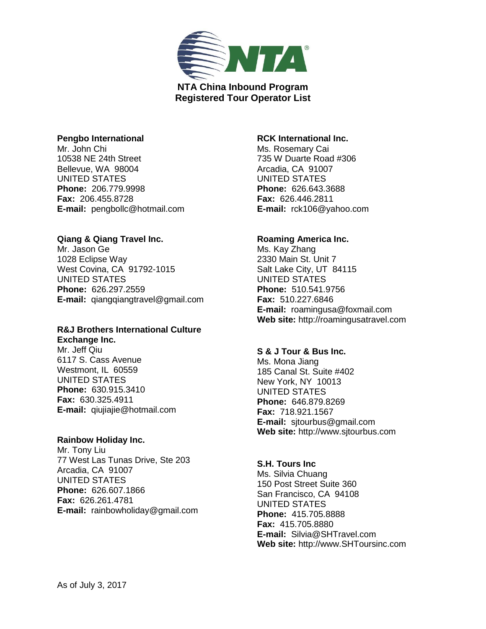

### **Pengbo International**

Mr. John Chi 10538 NE 24th Street Bellevue, WA 98004 UNITED STATES **Phone:** 206.779.9998 **Fax:** 206.455.8728 **E-mail:** pengbollc@hotmail.com

### **Qiang & Qiang Travel Inc.**

Mr. Jason Ge 1028 Eclipse Way West Covina, CA 91792-1015 UNITED STATES **Phone:** 626.297.2559 **E-mail:** qiangqiangtravel@gmail.com

# **R&J Brothers International Culture**

**Exchange Inc.** Mr. Jeff Qiu 6117 S. Cass Avenue Westmont, IL 60559 UNITED STATES **Phone:** 630.915.3410 **Fax:** 630.325.4911 **E-mail:** qiujiajie@hotmail.com

### **Rainbow Holiday Inc.**

Mr. Tony Liu 77 West Las Tunas Drive, Ste 203 Arcadia, CA 91007 UNITED STATES **Phone:** 626.607.1866 **Fax:** 626.261.4781 **E-mail:** rainbowholiday@gmail.com

## **RCK International Inc.**

Ms. Rosemary Cai 735 W Duarte Road #306 Arcadia, CA 91007 UNITED STATES **Phone:** 626.643.3688 **Fax:** 626.446.2811 **E-mail:** rck106@yahoo.com

## **Roaming America Inc.**

Ms. Kay Zhang 2330 Main St. Unit 7 Salt Lake City, UT 84115 UNITED STATES **Phone:** 510.541.9756 **Fax:** 510.227.6846 **E-mail:** roamingusa@foxmail.com **Web site:** http://roamingusatravel.com

# **S & J Tour & Bus Inc.**

Ms. Mona Jiang 185 Canal St. Suite #402 New York, NY 10013 UNITED STATES **Phone:** 646.879.8269 **Fax:** 718.921.1567 **E-mail:** sjtourbus@gmail.com **Web site:** http://www.sjtourbus.com

### **S.H. Tours Inc**

Ms. Silvia Chuang 150 Post Street Suite 360 San Francisco, CA 94108 UNITED STATES **Phone:** 415.705.8888 **Fax:** 415.705.8880 **E-mail:** Silvia@SHTravel.com **Web site:** http://www.SHToursinc.com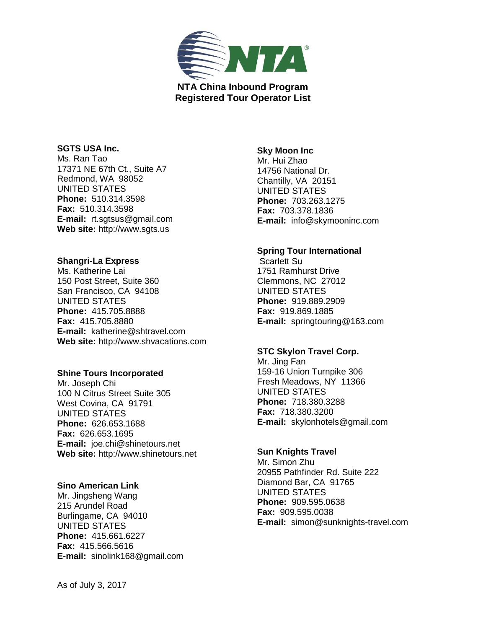

# **SGTS USA Inc.**

Ms. Ran Tao 17371 NE 67th Ct., Suite A7 Redmond, WA 98052 UNITED STATES **Phone:** 510.314.3598 **Fax:** 510.314.3598 **E-mail:** rt.sgtsus@gmail.com **Web site:** http://www.sgts.us

### **Shangri-La Express**

Ms. Katherine Lai 150 Post Street, Suite 360 San Francisco, CA 94108 UNITED STATES **Phone:** 415.705.8888 **Fax:** 415.705.8880 **E-mail:** katherine@shtravel.com **Web site:** http://www.shvacations.com

### **Shine Tours Incorporated**

Mr. Joseph Chi 100 N Citrus Street Suite 305 West Covina, CA 91791 UNITED STATES **Phone:** 626.653.1688 **Fax:** 626.653.1695 **E-mail:** joe.chi@shinetours.net **Web site:** http://www.shinetours.net

### **Sino American Link**

Mr. Jingsheng Wang 215 Arundel Road Burlingame, CA 94010 UNITED STATES **Phone:** 415.661.6227 **Fax:** 415.566.5616 **E-mail:** sinolink168@gmail.com

## **Sky Moon Inc**

Mr. Hui Zhao 14756 National Dr. Chantilly, VA 20151 UNITED STATES **Phone:** 703.263.1275 **Fax:** 703.378.1836 **E-mail:** info@skymooninc.com

# **Spring Tour International**

Scarlett Su 1751 Ramhurst Drive Clemmons, NC 27012 UNITED STATES **Phone:** 919.889.2909 **Fax:** 919.869.1885 **E-mail:** springtouring@163.com

# **STC Skylon Travel Corp.**

Mr. Jing Fan 159-16 Union Turnpike 306 Fresh Meadows, NY 11366 UNITED STATES **Phone:** 718.380.3288 **Fax:** 718.380.3200 **E-mail:** skylonhotels@gmail.com

### **Sun Knights Travel**

Mr. Simon Zhu 20955 Pathfinder Rd. Suite 222 Diamond Bar, CA 91765 UNITED STATES **Phone:** 909.595.0638 **Fax:** 909.595.0038 **E-mail:** simon@sunknights-travel.com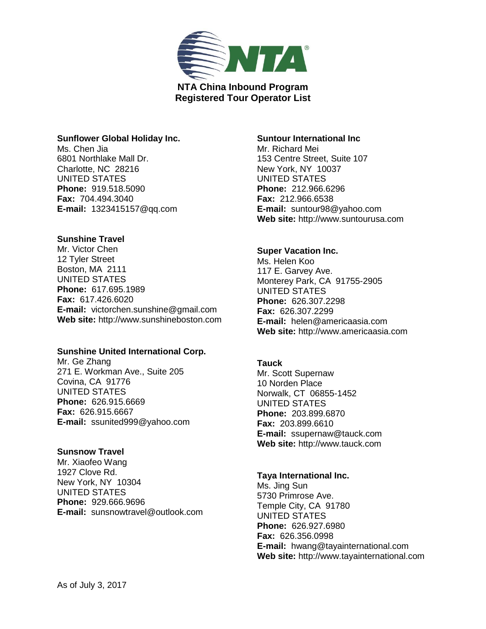

## **Sunflower Global Holiday Inc.**

Ms. Chen Jia 6801 Northlake Mall Dr. Charlotte, NC 28216 UNITED STATES **Phone:** 919.518.5090 **Fax:** 704.494.3040 **E-mail:** 1323415157@qq.com

## **Sunshine Travel**

Mr. Victor Chen 12 Tyler Street Boston, MA 2111 UNITED STATES **Phone:** 617.695.1989 **Fax:** 617.426.6020 **E-mail:** victorchen.sunshine@gmail.com **Web site:** http://www.sunshineboston.com

### **Sunshine United International Corp.**

Mr. Ge Zhang 271 E. Workman Ave., Suite 205 Covina, CA 91776 UNITED STATES **Phone:** 626.915.6669 **Fax:** 626.915.6667 **E-mail:** ssunited999@yahoo.com

# **Sunsnow Travel**

Mr. Xiaofeo Wang 1927 Clove Rd. New York, NY 10304 UNITED STATES **Phone:** 929.666.9696 **E-mail:** sunsnowtravel@outlook.com

## **Suntour International Inc**

Mr. Richard Mei 153 Centre Street, Suite 107 New York, NY 10037 UNITED STATES **Phone:** 212.966.6296 **Fax:** 212.966.6538 **E-mail:** suntour98@yahoo.com **Web site:** http://www.suntourusa.com

#### **Super Vacation Inc.**

Ms. Helen Koo 117 E. Garvey Ave. Monterey Park, CA 91755-2905 UNITED STATES **Phone:** 626.307.2298 **Fax:** 626.307.2299 **E-mail:** helen@americaasia.com **Web site:** http://www.americaasia.com

### **Tauck**

Mr. Scott Supernaw 10 Norden Place Norwalk, CT 06855-1452 UNITED STATES **Phone:** 203.899.6870 **Fax:** 203.899.6610 **E-mail:** ssupernaw@tauck.com **Web site:** http://www.tauck.com

#### **Taya International Inc.**

Ms. Jing Sun 5730 Primrose Ave. Temple City, CA 91780 UNITED STATES **Phone:** 626.927.6980 **Fax:** 626.356.0998 **E-mail:** hwang@tayainternational.com **Web site:** http://www.tayainternational.com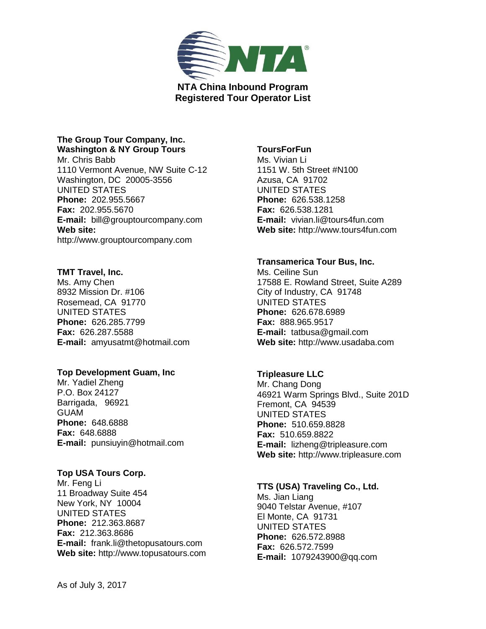

# **The Group Tour Company, Inc. Washington & NY Group Tours**

Mr. Chris Babb 1110 Vermont Avenue, NW Suite C-12 Washington, DC 20005-3556 UNITED STATES **Phone:** 202.955.5667 **Fax:** 202.955.5670 **E-mail:** bill@grouptourcompany.com **Web site:**  http://www.grouptourcompany.com

# **TMT Travel, Inc.**

Ms. Amy Chen 8932 Mission Dr. #106 Rosemead, CA 91770 UNITED STATES **Phone:** 626.285.7799 **Fax:** 626.287.5588 **E-mail:** amyusatmt@hotmail.com

# **Top Development Guam, Inc**

Mr. Yadiel Zheng P.O. Box 24127 Barrigada, 96921 GUAM **Phone:** 648.6888 **Fax:** 648.6888 **E-mail:** punsiuyin@hotmail.com

# **Top USA Tours Corp.**

Mr. Feng Li 11 Broadway Suite 454 New York, NY 10004 UNITED STATES **Phone:** 212.363.8687 **Fax:** 212.363.8686 **E-mail:** frank.li@thetopusatours.com **Web site:** http://www.topusatours.com

# **ToursForFun**

Ms. Vivian Li 1151 W. 5th Street #N100 Azusa, CA 91702 UNITED STATES **Phone:** 626.538.1258 **Fax:** 626.538.1281 **E-mail:** vivian.li@tours4fun.com **Web site:** http://www.tours4fun.com

# **Transamerica Tour Bus, Inc.**

Ms. Ceiline Sun 17588 E. Rowland Street, Suite A289 City of Industry, CA 91748 UNITED STATES **Phone:** 626.678.6989 **Fax:** 888.965.9517 **E-mail:** tatbusa@gmail.com **Web site:** http://www.usadaba.com

# **Tripleasure LLC**

Mr. Chang Dong 46921 Warm Springs Blvd., Suite 201D Fremont, CA 94539 UNITED STATES **Phone:** 510.659.8828 **Fax:** 510.659.8822 **E-mail:** lizheng@tripleasure.com **Web site:** http://www.tripleasure.com

# **TTS (USA) Traveling Co., Ltd.**

Ms. Jian Liang 9040 Telstar Avenue, #107 El Monte, CA 91731 UNITED STATES **Phone:** 626.572.8988 **Fax:** 626.572.7599 **E-mail:** 1079243900@qq.com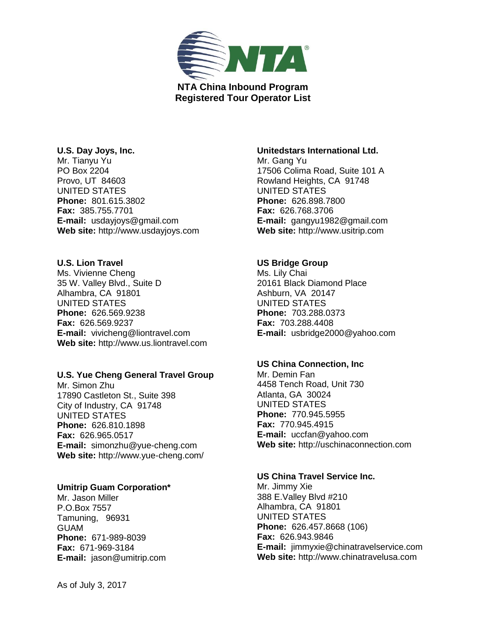

### **U.S. Day Joys, Inc.**

Mr. Tianyu Yu PO Box 2204 Provo, UT 84603 UNITED STATES **Phone:** 801.615.3802 **Fax:** 385.755.7701 **E-mail:** usdayjoys@gmail.com **Web site:** http://www.usdayjoys.com

## **U.S. Lion Travel**

Ms. Vivienne Cheng 35 W. Valley Blvd., Suite D Alhambra, CA 91801 UNITED STATES **Phone:** 626.569.9238 **Fax:** 626.569.9237 **E-mail:** vivicheng@liontravel.com **Web site:** http://www.us.liontravel.com

# **U.S. Yue Cheng General Travel Group**

Mr. Simon Zhu 17890 Castleton St., Suite 398 City of Industry, CA 91748 UNITED STATES **Phone:** 626.810.1898 **Fax:** 626.965.0517 **E-mail:** simonzhu@yue-cheng.com **Web site:** http://www.yue-cheng.com/

# **Umitrip Guam Corporation\***

Mr. Jason Miller P.O.Box 7557 Tamuning, 96931 GUAM **Phone:** 671-989-8039 **Fax:** 671-969-3184 **E-mail:** jason@umitrip.com

## **Unitedstars International Ltd.**

Mr. Gang Yu 17506 Colima Road, Suite 101 A Rowland Heights, CA 91748 UNITED STATES **Phone:** 626.898.7800 **Fax:** 626.768.3706 **E-mail:** gangyu1982@gmail.com **Web site:** http://www.usitrip.com

# **US Bridge Group**

Ms. Lily Chai 20161 Black Diamond Place Ashburn, VA 20147 UNITED STATES **Phone:** 703.288.0373 **Fax:** 703.288.4408 **E-mail:** usbridge2000@yahoo.com

### **US China Connection, Inc**

Mr. Demin Fan 4458 Tench Road, Unit 730 Atlanta, GA 30024 UNITED STATES **Phone:** 770.945.5955 **Fax:** 770.945.4915 **E-mail:** uccfan@yahoo.com **Web site:** http://uschinaconnection.com

#### **US China Travel Service Inc.**

Mr. Jimmy Xie 388 E.Valley Blvd #210 Alhambra, CA 91801 UNITED STATES **Phone:** 626.457.8668 (106) **Fax:** 626.943.9846 **E-mail:** jimmyxie@chinatravelservice.com **Web site:** http://www.chinatravelusa.com

As of July 3, 2017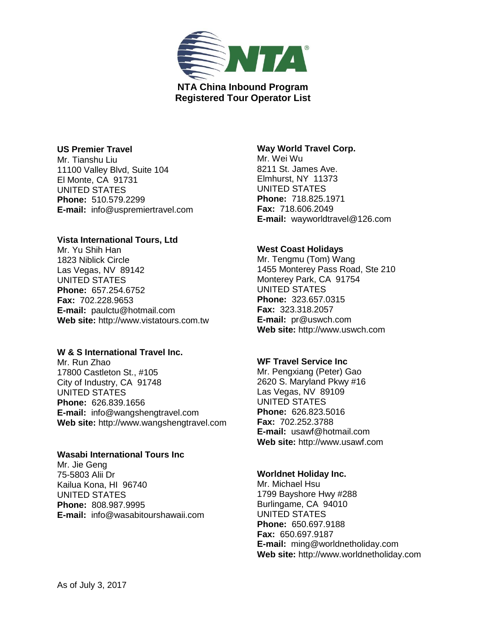

## **US Premier Travel**

Mr. Tianshu Liu 11100 Valley Blvd, Suite 104 El Monte, CA 91731 UNITED STATES **Phone:** 510.579.2299 **E-mail:** info@uspremiertravel.com

## **Vista International Tours, Ltd**

Mr. Yu Shih Han 1823 Niblick Circle Las Vegas, NV 89142 UNITED STATES **Phone:** 657.254.6752 **Fax:** 702.228.9653 **E-mail:** paulctu@hotmail.com **Web site:** http://www.vistatours.com.tw

# **W & S International Travel Inc.**

Mr. Run Zhao 17800 Castleton St., #105 City of Industry, CA 91748 UNITED STATES **Phone:** 626.839.1656 **E-mail:** info@wangshengtravel.com **Web site:** http://www.wangshengtravel.com

# **Wasabi International Tours Inc**

Mr. Jie Geng 75-5803 Alii Dr Kailua Kona, HI 96740 UNITED STATES **Phone:** 808.987.9995 **E-mail:** info@wasabitourshawaii.com

## **Way World Travel Corp.**

Mr. Wei Wu 8211 St. James Ave. Elmhurst, NY 11373 UNITED STATES **Phone:** 718.825.1971 **Fax:** 718.606.2049 **E-mail:** wayworldtravel@126.com

# **West Coast Holidays**

Mr. Tengmu (Tom) Wang 1455 Monterey Pass Road, Ste 210 Monterey Park, CA 91754 UNITED STATES **Phone:** 323.657.0315 **Fax:** 323.318.2057 **E-mail:** pr@uswch.com **Web site:** http://www.uswch.com

### **WF Travel Service Inc**

Mr. Pengxiang (Peter) Gao 2620 S. Maryland Pkwy #16 Las Vegas, NV 89109 UNITED STATES **Phone:** 626.823.5016 **Fax:** 702.252.3788 **E-mail:** usawf@hotmail.com **Web site:** http://www.usawf.com

## **Worldnet Holiday Inc.**

Mr. Michael Hsu 1799 Bayshore Hwy #288 Burlingame, CA 94010 UNITED STATES **Phone:** 650.697.9188 **Fax:** 650.697.9187 **E-mail:** ming@worldnetholiday.com **Web site:** http://www.worldnetholiday.com